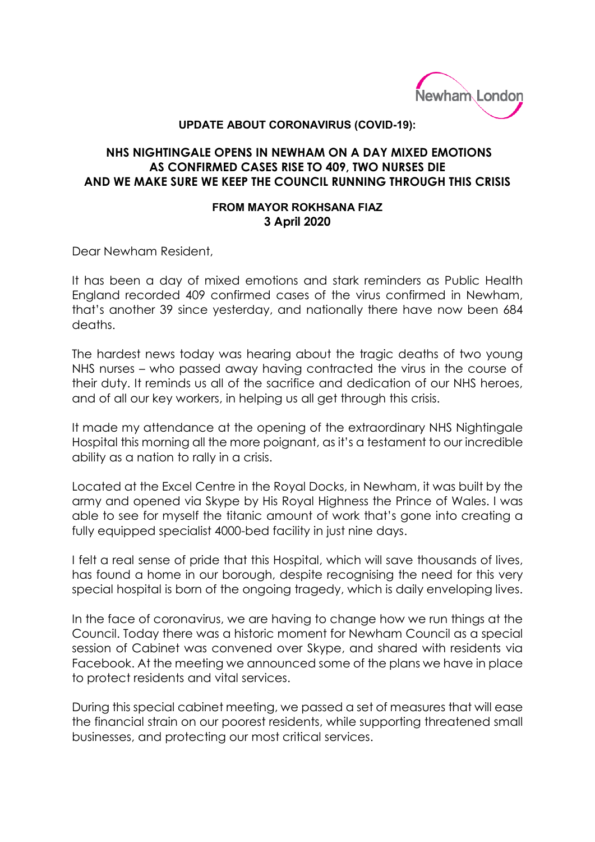

## **UPDATE ABOUT CORONAVIRUS (COVID-19):**

## **NHS NIGHTINGALE OPENS IN NEWHAM ON A DAY MIXED EMOTIONS AS CONFIRMED CASES RISE TO 409, TWO NURSES DIE AND WE MAKE SURE WE KEEP THE COUNCIL RUNNING THROUGH THIS CRISIS**

## **FROM MAYOR ROKHSANA FIAZ 3 April 2020**

Dear Newham Resident,

It has been a day of mixed emotions and stark reminders as Public Health England recorded 409 confirmed cases of the virus confirmed in Newham, that's another 39 since yesterday, and nationally there have now been 684 deaths.

The hardest news today was hearing about the tragic deaths of two young NHS nurses – who passed away having contracted the virus in the course of their duty. It reminds us all of the sacrifice and dedication of our NHS heroes, and of all our key workers, in helping us all get through this crisis.

It made my attendance at the opening of the extraordinary NHS Nightingale Hospital this morning all the more poignant, as it's a testament to our incredible ability as a nation to rally in a crisis.

Located at the Excel Centre in the Royal Docks, in Newham, it was built by the army and opened via Skype by His Royal Highness the Prince of Wales. I was able to see for myself the titanic amount of work that's gone into creating a fully equipped specialist 4000-bed facility in just nine days.

I felt a real sense of pride that this Hospital, which will save thousands of lives, has found a home in our borough, despite recognising the need for this very special hospital is born of the ongoing tragedy, which is daily enveloping lives.

In the face of coronavirus, we are having to change how we run things at the Council. Today there was a historic moment for Newham Council as a special session of Cabinet was convened over Skype, and shared with residents via Facebook. At the meeting we announced some of the plans we have in place to protect residents and vital services.

During this special cabinet meeting, we passed a set of measures that will ease the financial strain on our poorest residents, while supporting threatened small businesses, and protecting our most critical services.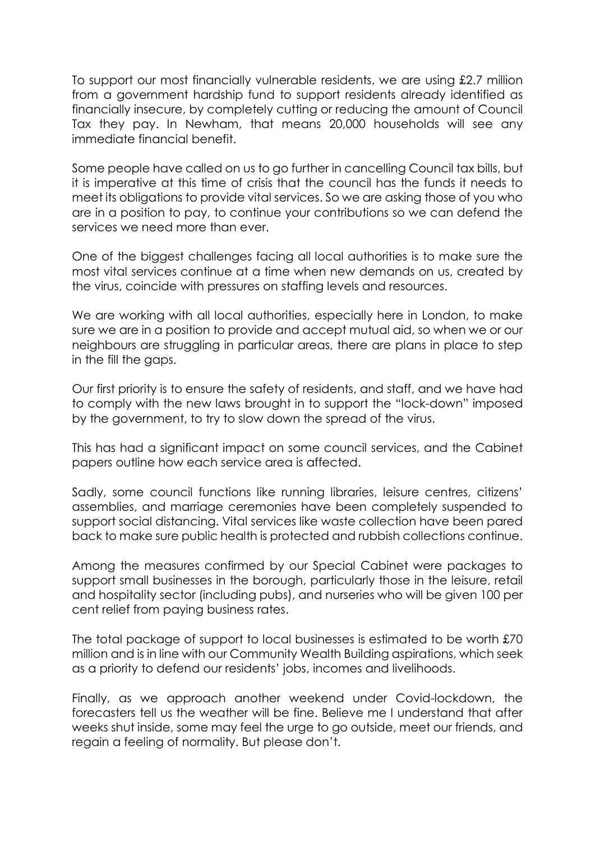To support our most financially vulnerable residents, we are using £2.7 million from a government hardship fund to support residents already identified as financially insecure, by completely cutting or reducing the amount of Council Tax they pay. In Newham, that means 20,000 households will see any immediate financial benefit.

Some people have called on us to go further in cancelling Council tax bills, but it is imperative at this time of crisis that the council has the funds it needs to meet its obligations to provide vital services. So we are asking those of you who are in a position to pay, to continue your contributions so we can defend the services we need more than ever.

One of the biggest challenges facing all local authorities is to make sure the most vital services continue at a time when new demands on us, created by the virus, coincide with pressures on staffing levels and resources.

We are working with all local authorities, especially here in London, to make sure we are in a position to provide and accept mutual aid, so when we or our neighbours are struggling in particular areas, there are plans in place to step in the fill the gaps.

Our first priority is to ensure the safety of residents, and staff, and we have had to comply with the new laws brought in to support the "lock-down" imposed by the government, to try to slow down the spread of the virus.

This has had a significant impact on some council services, and the Cabinet papers outline how each service area is affected.

Sadly, some council functions like running libraries, leisure centres, citizens' assemblies, and marriage ceremonies have been completely suspended to support social distancing. Vital services like waste collection have been pared back to make sure public health is protected and rubbish collections continue.

Among the measures confirmed by our Special Cabinet were packages to support small businesses in the borough, particularly those in the leisure, retail and hospitality sector (including pubs), and nurseries who will be given 100 per cent relief from paying business rates.

The total package of support to local businesses is estimated to be worth £70 million and is in line with our Community Wealth Building aspirations, which seek as a priority to defend our residents' jobs, incomes and livelihoods.

Finally, as we approach another weekend under Covid-lockdown, the forecasters tell us the weather will be fine. Believe me I understand that after weeks shut inside, some may feel the urge to go outside, meet our friends, and regain a feeling of normality. But please don't.